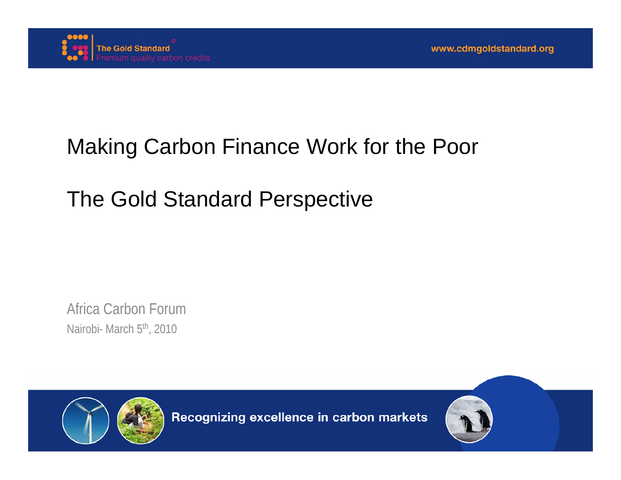

## Making Carbon Finance Work for the Poor

## The Gold Standard Perspective

Africa Carbon ForumNairobi- March 5<sup>th</sup>, 2010



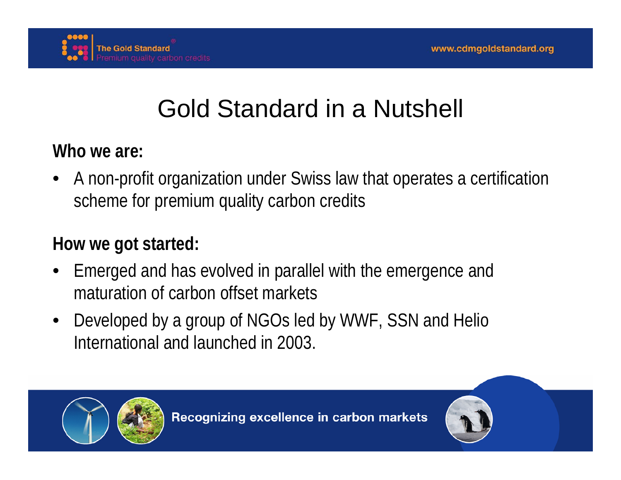

# Gold Standard in a Nutshell

**Who we are:**

• A non-profit organization under Swiss law that operates a certification scheme for premium quality carbon credits

#### **How we got started:**

- Emerged and has evolved in parallel with the emergence and maturation of carbon offset markets
- Developed by a group of NGOs led by WWF, SSN and Helio International and launched in 2003.

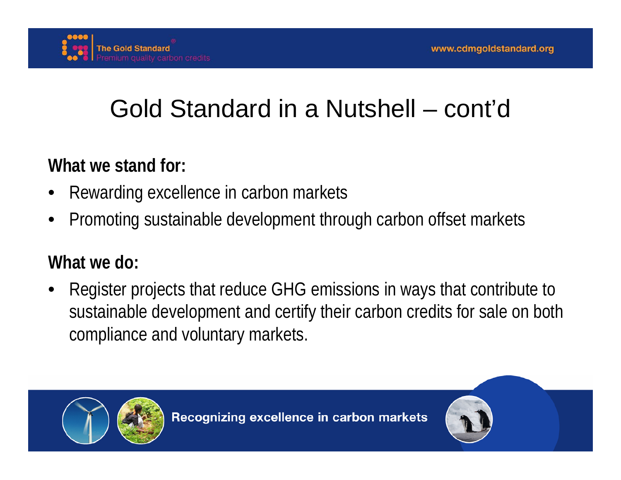

# Gold Standard in a Nutshell – cont'd

### **What we stand for:**

- Rewarding excellence in carbon markets
- Promoting sustainable development through carbon offset markets

### **What we do:**

• Register projects that reduce GHG emissions in ways that contribute to sustainable development and certify their carbon credits for sale on both compliance and voluntary markets.



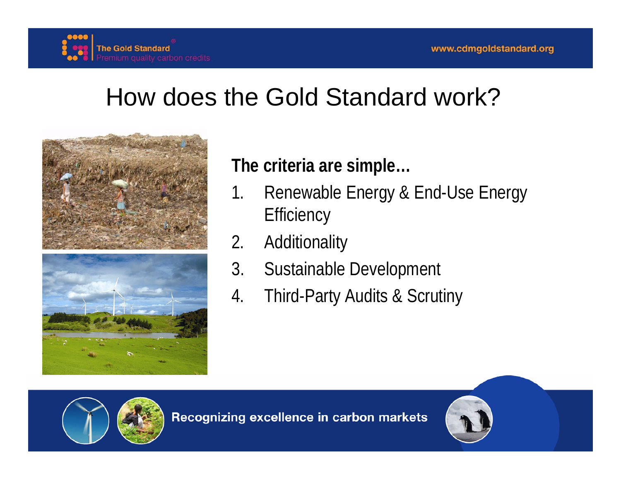

## How does the Gold Standard work?



#### **The criteria are simple…**

- 1. Renewable Energy & End-Use Energy **Efficiency**
- 2. Additionality
- 3. Sustainable Development
- 4. Third-Party Audits & Scrutiny



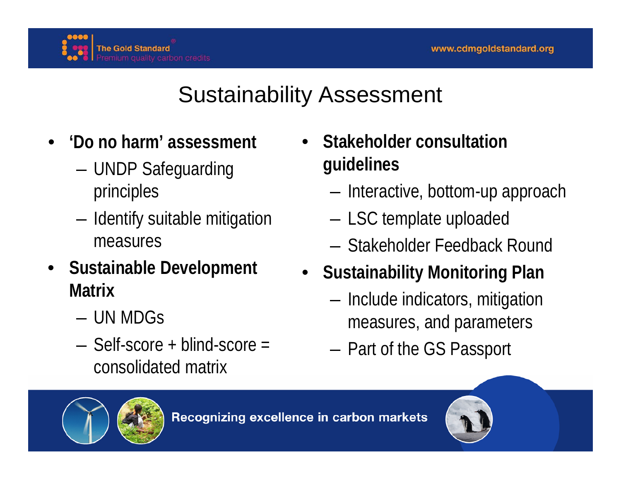

## Sustainability Assessment

- **'Do no harm' assessment**
	- UNDP Safeguarding principles
	- Identify suitable mitigation measures
- **Sustainable Development Matrix**
	- UN MDGs
	- Self-score + blind-score = consolidated matrix
- **Stakeholder consultation guidelines**
	- Interactive, bottom-up approach
	- LSC template uploaded
	- Stakeholder Feedback Round
- **Sustainability Monitoring Plan**
	- Include indicators, mitigation measures, and parameters
	- Part of the GS Passport



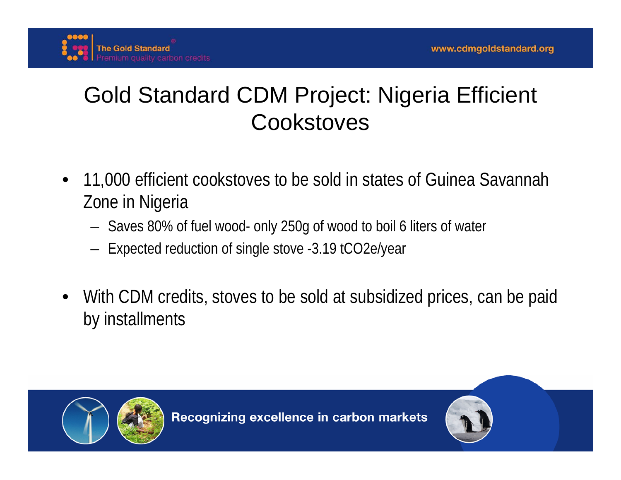

## Gold Standard CDM Project: Nigeria Efficient **Cookstoves**

- 11,000 efficient cookstoves to be sold in states of Guinea Savannah Zone in Nigeria
	- Saves 80% of fuel wood- only 250g of wood to boil 6 liters of water
	- Expected reduction of single stove -3.19 tCO2e/year
- With CDM credits, stoves to be sold at subsidized prices, can be paid by installments



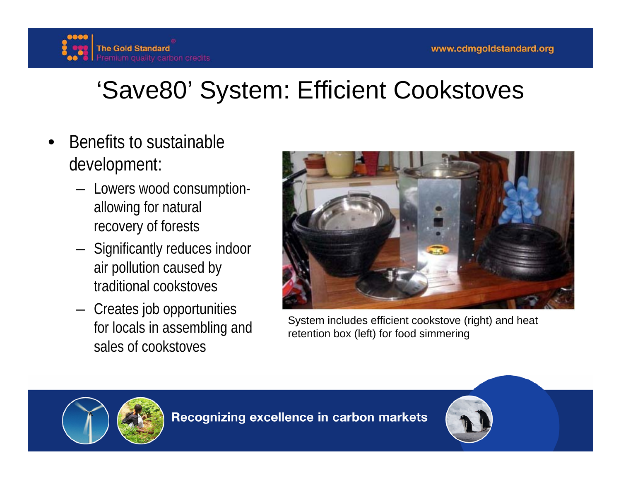

# 'Save80' System: Efficient Cookstoves

- Benefits to sustainable development:
	- Lowers wood consumptionallowing for natural recovery of forests
	- Significantly reduces indoor air pollution caused by traditional cookstoves
	- Creates job opportunities for locals in assembling and sales of cookstoves



System includes efficient cookstove (right) and heat retention box (left) for food simmering



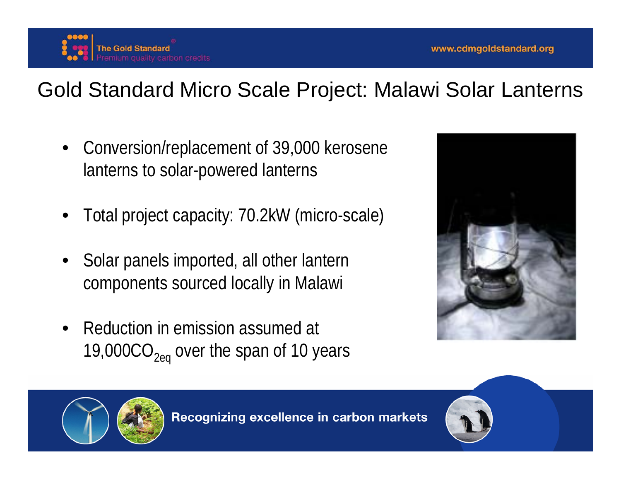### Gold Standard Micro Scale Project: Malawi Solar Lanterns

- Conversion/replacement of 39,000 kerosene lanterns to solar-powered lanterns
- Total project capacity: 70.2kW (micro-scale)
- Solar panels imported, all other lantern components sourced locally in Malawi
- Reduction in emission assumed at 19,000 $CO<sub>2eq</sub>$  over the span of 10 years





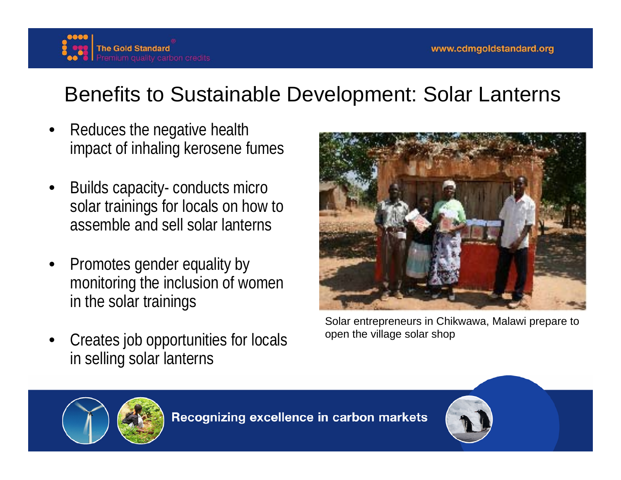

## Benefits to Sustainable Development: Solar Lanterns

- Reduces the negative health impact of inhaling kerosene fumes
- Builds capacity- conducts micro solar trainings for locals on how to assemble and sell solar lanterns
- Promotes gender equality by monitoring the inclusion of women in the solar trainings
- Creates job opportunities for locals in selling solar lanterns



Solar entrepreneurs in Chikwawa, Malawi prepare to open the village solar shop



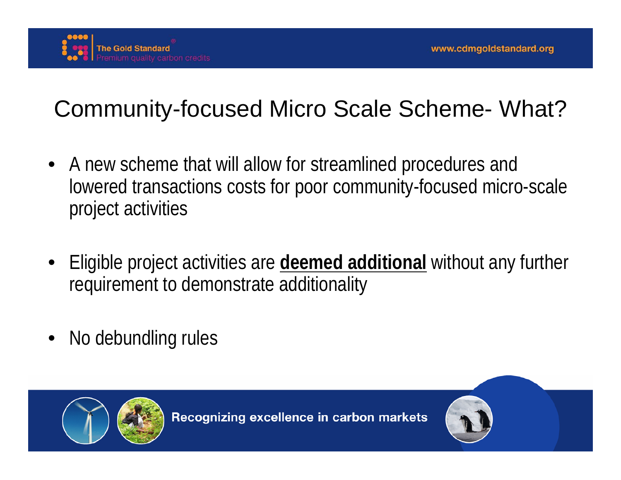

## Community-focused Micro Scale Scheme- What?

- A new scheme that will allow for streamlined procedures and lowered transactions costs for poor community-focused micro-scale project activities
- Eligible project activities are **deemed additional** without any further requirement to demonstrate additionality
- No debundling rules



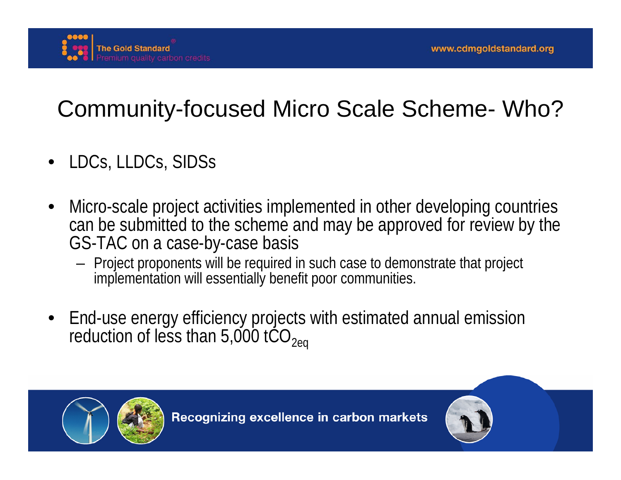

# Community-focused Micro Scale Scheme- Who?

- LDCs, LLDCs, SIDSs
- Micro-scale project activities implemented in other developing countries can be submitted to the scheme and may be approved for review by the GS-TAC on a case-by-case basis
	- Project proponents will be required in such case to demonstrate that project implementation will essentially benefit poor communities.
- End-use energy efficiency projects with estimated annual emission reduction of less than 5,000 tCO<sub>2eq</sub>



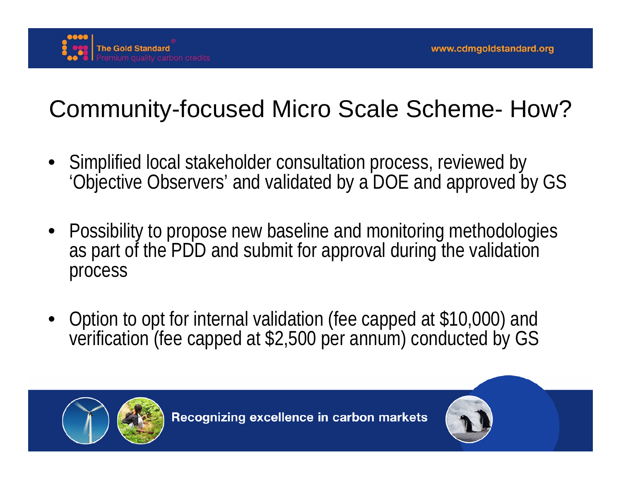

# Community-focused Micro Scale Scheme- How?

- Simplified local stakeholder consultation process, reviewed by 'Objective Observers' and validated by a DOE and approved by GS
- Possibility to propose new baseline and monitoring methodologies as part of the PDD and submit for approval during the validation process
- Option to opt for internal validation (fee capped at \$10,000) and verification (fee capped at \$2,500 per annum) conducted by GS